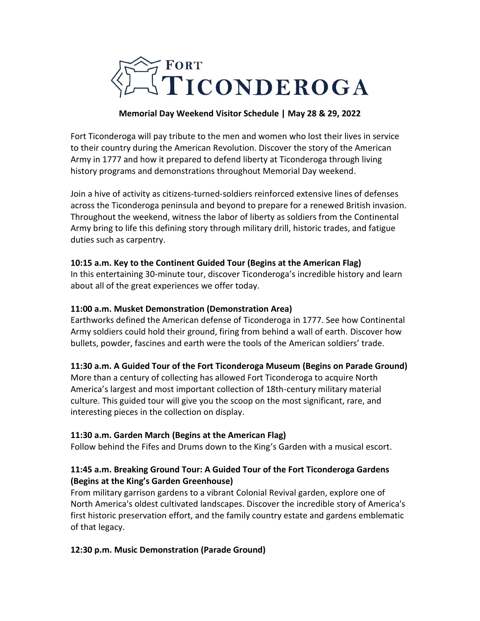

### **Memorial Day Weekend Visitor Schedule | May 28 & 29, 2022**

Fort Ticonderoga will pay tribute to the men and women who lost their lives in service to their country during the American Revolution. Discover the story of the American Army in 1777 and how it prepared to defend liberty at Ticonderoga through living history programs and demonstrations throughout Memorial Day weekend.

Join a hive of activity as citizens-turned-soldiers reinforced extensive lines of defenses across the Ticonderoga peninsula and beyond to prepare for a renewed British invasion. Throughout the weekend, witness the labor of liberty as soldiers from the Continental Army bring to life this defining story through military drill, historic trades, and fatigue duties such as carpentry.

### **10:15 a.m. Key to the Continent Guided Tour (Begins at the American Flag)**

In this entertaining 30-minute tour, discover Ticonderoga's incredible history and learn about all of the great experiences we offer today.

### **11:00 a.m. Musket Demonstration (Demonstration Area)**

Earthworks defined the American defense of Ticonderoga in 1777. See how Continental Army soldiers could hold their ground, firing from behind a wall of earth. Discover how bullets, powder, fascines and earth were the tools of the American soldiers' trade.

#### **11:30 a.m. A Guided Tour of the Fort Ticonderoga Museum (Begins on Parade Ground)**

More than a century of collecting has allowed Fort Ticonderoga to acquire North America's largest and most important collection of 18th-century military material culture. This guided tour will give you the scoop on the most significant, rare, and interesting pieces in the collection on display.

#### **11:30 a.m. Garden March (Begins at the American Flag)**

Follow behind the Fifes and Drums down to the King's Garden with a musical escort.

### **11:45 a.m. Breaking Ground Tour: A Guided Tour of the Fort Ticonderoga Gardens (Begins at the King's Garden Greenhouse)**

From military garrison gardens to a vibrant Colonial Revival garden, explore one of North America's oldest cultivated landscapes. Discover the incredible story of America's first historic preservation effort, and the family country estate and gardens emblematic of that legacy.

### **12:30 p.m. Music Demonstration (Parade Ground)**